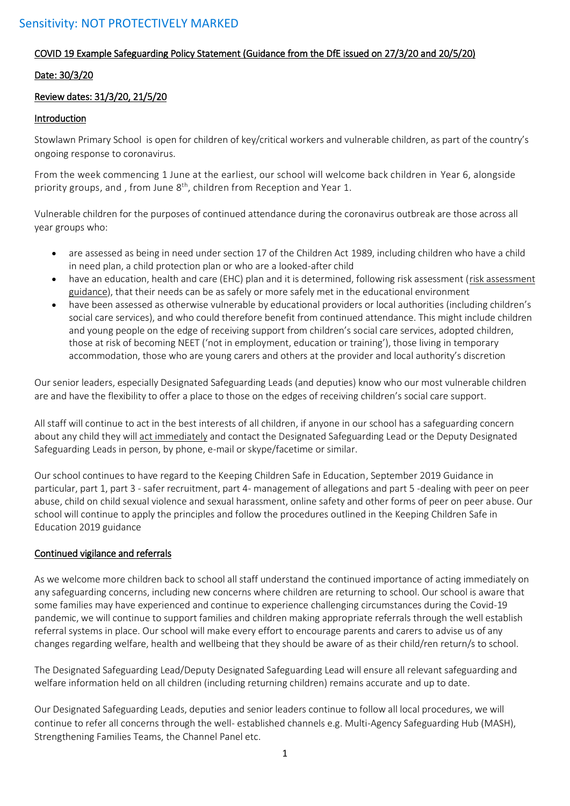### COVID 19 Example Safeguarding Policy Statement (Guidance from the DfE issued on 27/3/20 and 20/5/20)

#### Date: 30/3/20

### Review dates: 31/3/20, 21/5/20

#### Introduction

Stowlawn Primary School is open for children of key/critical workers and vulnerable children, as part of the country's ongoing response to coronavirus.

From the week commencing 1 June at the earliest, our school will welcome back children in Year 6, alongside priority groups, and, from June 8<sup>th</sup>, children from Reception and Year 1.

Vulnerable children for the purposes of continued attendance during the coronavirus outbreak are those across all year groups who:

- are assessed as being in need under section 17 of the Children Act 1989, including children who have a child in need plan, a child protection plan or who are a looked-after child
- have an education, health and care (EHC) plan and it is determined, following risk assessment [\(risk assessment](https://www.gov.uk/government/publications/coronavirus-covid-19-send-risk-assessment-guidance/coronavirus-covid-19-send-risk-assessment-guidance)  [guidance\)](https://www.gov.uk/government/publications/coronavirus-covid-19-send-risk-assessment-guidance/coronavirus-covid-19-send-risk-assessment-guidance), that their needs can be as safely or more safely met in the educational environment
- have been assessed as otherwise vulnerable by educational providers or local authorities (including children's social care services), and who could therefore benefit from continued attendance. This might include children and young people on the edge of receiving support from children's social care services, adopted children, those at risk of becoming NEET ('not in employment, education or training'), those living in temporary accommodation, those who are young carers and others at the provider and local authority's discretion

Our senior leaders, especially Designated Safeguarding Leads (and deputies) know who our most vulnerable children are and have the flexibility to offer a place to those on the edges of receiving children's social care support.

All staff will continue to act in the best interests of all children, if anyone in our school has a safeguarding concern about any child they will act immediately and contact the Designated Safeguarding Lead or the Deputy Designated Safeguarding Leads in person, by phone, e-mail or skype/facetime or similar.

Our school continues to have regard to the Keeping Children Safe in Education, September 2019 Guidance in particular, part 1, part 3 - safer recruitment, part 4- management of allegations and part 5 -dealing with peer on peer abuse, child on child sexual violence and sexual harassment, online safety and other forms of peer on peer abuse. Our school will continue to apply the principles and follow the procedures outlined in the Keeping Children Safe in Education 2019 guidance

#### Continued vigilance and referrals

As we welcome more children back to school all staff understand the continued importance of acting immediately on any safeguarding concerns, including new concerns where children are returning to school. Our school is aware that some families may have experienced and continue to experience challenging circumstances during the Covid-19 pandemic, we will continue to support families and children making appropriate referrals through the well establish referral systems in place. Our school will make every effort to encourage parents and carers to advise us of any changes regarding welfare, health and wellbeing that they should be aware of as their child/ren return/s to school.

The Designated Safeguarding Lead/Deputy Designated Safeguarding Lead will ensure all relevant safeguarding and welfare information held on all children (including returning children) remains accurate and up to date.

Our Designated Safeguarding Leads, deputies and senior leaders continue to follow all local procedures, we will continue to refer all concerns through the well- established channels e.g. Multi-Agency Safeguarding Hub (MASH), Strengthening Families Teams, the Channel Panel etc.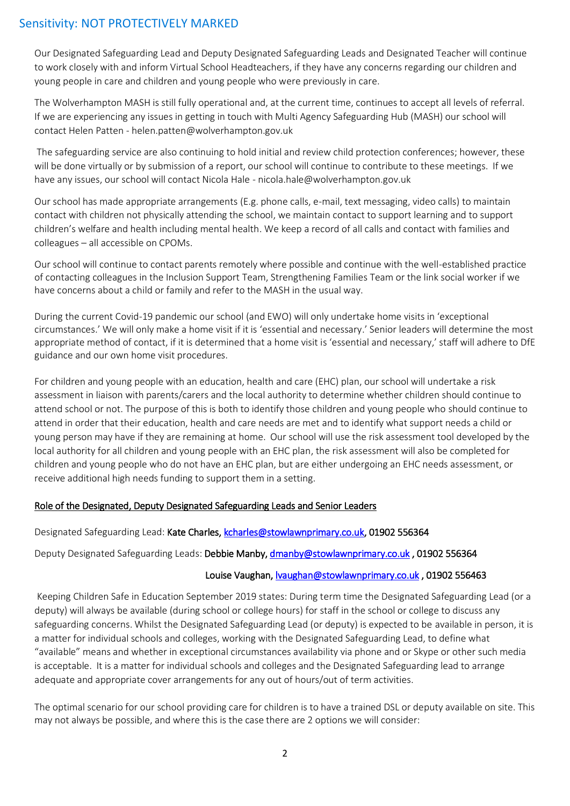Our Designated Safeguarding Lead and Deputy Designated Safeguarding Leads and Designated Teacher will continue to work closely with and inform Virtual School Headteachers, if they have any concerns regarding our children and young people in care and children and young people who were previously in care.

The Wolverhampton MASH is still fully operational and, at the current time, continues to accept all levels of referral. If we are experiencing any issues in getting in touch with Multi Agency Safeguarding Hub (MASH) our school will contact Helen Patten - helen.patten@wolverhampton.gov.uk

The safeguarding service are also continuing to hold initial and review child protection conferences; however, these will be done virtually or by submission of a report, our school will continue to contribute to these meetings. If we have any issues, our school will contact Nicola Hale - nicola.hale@wolverhampton.gov.uk

Our school has made appropriate arrangements (E.g. phone calls, e-mail, text messaging, video calls) to maintain contact with children not physically attending the school, we maintain contact to support learning and to support children's welfare and health including mental health. We keep a record of all calls and contact with families and colleagues – all accessible on CPOMs.

Our school will continue to contact parents remotely where possible and continue with the well-established practice of contacting colleagues in the Inclusion Support Team, Strengthening Families Team or the link social worker if we have concerns about a child or family and refer to the MASH in the usual way.

During the current Covid-19 pandemic our school (and EWO) will only undertake home visits in 'exceptional circumstances.' We will only make a home visit if it is 'essential and necessary.' Senior leaders will determine the most appropriate method of contact, if it is determined that a home visit is 'essential and necessary,' staff will adhere to DfE guidance and our own home visit procedures.

For children and young people with an education, health and care (EHC) plan, our school will undertake a risk assessment in liaison with parents/carers and the local authority to determine whether children should continue to attend school or not. The purpose of this is both to identify those children and young people who should continue to attend in order that their education, health and care needs are met and to identify what support needs a child or young person may have if they are remaining at home. Our school will use the risk assessment tool developed by the local authority for all children and young people with an EHC plan, the risk assessment will also be completed for children and young people who do not have an EHC plan, but are either undergoing an EHC needs assessment, or receive additional high needs funding to support them in a setting.

#### Role of the Designated, Deputy Designated Safeguarding Leads and Senior Leaders

#### Designated Safeguarding Lead: Kate Charles[, kcharles@stowlawnprimary.co.uk,](mailto:kcharles@stowlawnprimary.co.uk) 01902 556364

Deputy Designated Safeguarding Leads: Debbie Manby, [dmanby@stowlawnprimary.co.uk](mailto:dmanby@stowlawnprimary.co.uk) , 01902 556364

#### Louise Vaughan[, lvaughan@stowlawnprimary.co.uk](mailto:lvaughan@stowlawnprimary.co.uk) , 01902 556463

 Keeping Children Safe in Education September 2019 states: During term time the Designated Safeguarding Lead (or a deputy) will always be available (during school or college hours) for staff in the school or college to discuss any safeguarding concerns. Whilst the Designated Safeguarding Lead (or deputy) is expected to be available in person, it is a matter for individual schools and colleges, working with the Designated Safeguarding Lead, to define what "available" means and whether in exceptional circumstances availability via phone and or Skype or other such media is acceptable. It is a matter for individual schools and colleges and the Designated Safeguarding lead to arrange adequate and appropriate cover arrangements for any out of hours/out of term activities.

The optimal scenario for our school providing care for children is to have a trained DSL or deputy available on site. This may not always be possible, and where this is the case there are 2 options we will consider: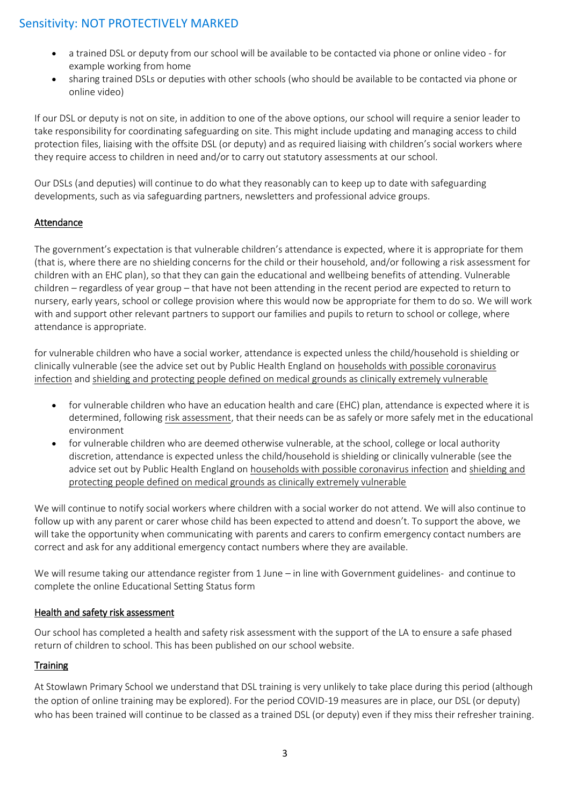- a trained DSL or deputy from our school will be available to be contacted via phone or online video for example working from home
- sharing trained DSLs or deputies with other schools (who should be available to be contacted via phone or online video)

If our DSL or deputy is not on site, in addition to one of the above options, our school will require a senior leader to take responsibility for coordinating safeguarding on site. This might include updating and managing access to child protection files, liaising with the offsite DSL (or deputy) and as required liaising with children's social workers where they require access to children in need and/or to carry out statutory assessments at our school.

Our DSLs (and deputies) will continue to do what they reasonably can to keep up to date with safeguarding developments, such as via safeguarding partners, newsletters and professional advice groups.

#### Attendance

The government's expectation is that vulnerable children's attendance is expected, where it is appropriate for them (that is, where there are no shielding concerns for the child or their household, and/or following a risk assessment for children with an EHC plan), so that they can gain the educational and wellbeing benefits of attending. Vulnerable children – regardless of year group – that have not been attending in the recent period are expected to return to nursery, early years, school or college provision where this would now be appropriate for them to do so. We will work with and support other relevant partners to support our families and pupils to return to school or college, where attendance is appropriate.

for vulnerable children who have a social worker, attendance is expected unless the child/household is shielding or clinically vulnerable (see the advice set out by Public Health England o[n households with possible coronavirus](https://www.gov.uk/government/publications/covid-19-stay-at-home-guidance)  [infection](https://www.gov.uk/government/publications/covid-19-stay-at-home-guidance) an[d shielding and protecting people defined on medical grounds as clinically extremely vulnerable](https://www.gov.uk/government/publications/guidance-on-shielding-and-protecting-extremely-vulnerable-persons-from-covid-19)

- for vulnerable children who have an education health and care (EHC) plan, attendance is expected where it is determined, following [risk assessment,](https://www.gov.uk/government/publications/coronavirus-covid-19-send-risk-assessment-guidance/coronavirus-covid-19-send-risk-assessment-guidance) that their needs can be as safely or more safely met in the educational environment
- for vulnerable children who are deemed otherwise vulnerable, at the school, college or local authority discretion, attendance is expected unless the child/household is shielding or clinically vulnerable (see the advice set out by Public Health England o[n households with possible coronavirus infection](https://www.gov.uk/government/publications/covid-19-stay-at-home-guidance) and [shielding and](https://www.gov.uk/government/publications/guidance-on-shielding-and-protecting-extremely-vulnerable-persons-from-covid-19)  [protecting people defined on medical grounds as clinically extremely vulnerable](https://www.gov.uk/government/publications/guidance-on-shielding-and-protecting-extremely-vulnerable-persons-from-covid-19)

We will continue to notify social workers where children with a social worker do not attend. We will also continue to follow up with any parent or carer whose child has been expected to attend and doesn't. To support the above, we will take the opportunity when communicating with parents and carers to confirm emergency contact numbers are correct and ask for any additional emergency contact numbers where they are available.

We will resume taking our attendance register from 1 June – in line with Government guidelines- and continue to complete the online Educational Setting Status form

#### Health and safety risk assessment

Our school has completed a health and safety risk assessment with the support of the LA to ensure a safe phased return of children to school. This has been published on our school website.

#### **Training**

At Stowlawn Primary School we understand that DSL training is very unlikely to take place during this period (although the option of online training may be explored). For the period COVID-19 measures are in place, our DSL (or deputy) who has been trained will continue to be classed as a trained DSL (or deputy) even if they miss their refresher training.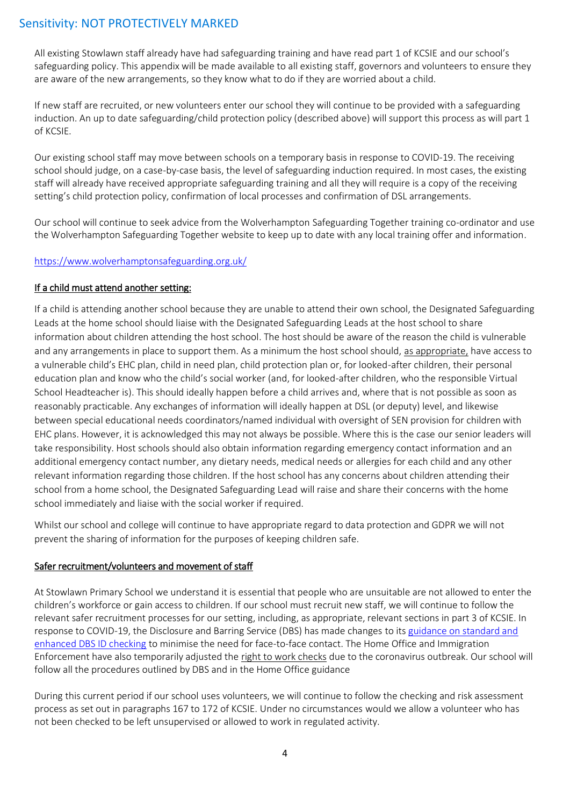All existing Stowlawn staff already have had safeguarding training and have read part 1 of KCSIE and our school's safeguarding policy. This appendix will be made available to all existing staff, governors and volunteers to ensure they are aware of the new arrangements, so they know what to do if they are worried about a child.

If new staff are recruited, or new volunteers enter our school they will continue to be provided with a safeguarding induction. An up to date safeguarding/child protection policy (described above) will support this process as will part 1 of KCSIE.

Our existing school staff may move between schools on a temporary basis in response to COVID-19. The receiving school should judge, on a case-by-case basis, the level of safeguarding induction required. In most cases, the existing staff will already have received appropriate safeguarding training and all they will require is a copy of the receiving setting's child protection policy, confirmation of local processes and confirmation of DSL arrangements.

Our school will continue to seek advice from the Wolverhampton Safeguarding Together training co-ordinator and use the Wolverhampton Safeguarding Together website to keep up to date with any local training offer and information.

#### <https://www.wolverhamptonsafeguarding.org.uk/>

### If a child must attend another setting:

If a child is attending another school because they are unable to attend their own school, the Designated Safeguarding Leads at the home school should liaise with the Designated Safeguarding Leads at the host school to share information about children attending the host school. The host should be aware of the reason the child is vulnerable and any arrangements in place to support them. As a minimum the host school should, as appropriate, have access to a vulnerable child's EHC plan, child in need plan, child protection plan or, for looked-after children, their personal education plan and know who the child's social worker (and, for looked-after children, who the responsible Virtual School Headteacher is). This should ideally happen before a child arrives and, where that is not possible as soon as reasonably practicable. Any exchanges of information will ideally happen at DSL (or deputy) level, and likewise between special educational needs coordinators/named individual with oversight of SEN provision for children with EHC plans. However, it is acknowledged this may not always be possible. Where this is the case our senior leaders will take responsibility. Host schools should also obtain information regarding emergency contact information and an additional emergency contact number, any dietary needs, medical needs or allergies for each child and any other relevant information regarding those children. If the host school has any concerns about children attending their school from a home school, the Designated Safeguarding Lead will raise and share their concerns with the home school immediately and liaise with the social worker if required.

Whilst our school and college will continue to have appropriate regard to data protection and GDPR we will not prevent the sharing of information for the purposes of keeping children safe.

#### Safer recruitment/volunteers and movement of staff

At Stowlawn Primary School we understand it is essential that people who are unsuitable are not allowed to enter the children's workforce or gain access to children. If our school must recruit new staff, we will continue to follow the relevant safer recruitment processes for our setting, including, as appropriate, relevant sections in part 3 of KCSIE. In response to COVID-19, the Disclosure and Barring Service (DBS) has made changes to it[s guidance on standard and](https://www.gov.uk/government/news/covid-19-changes-to-standard-and-enhanced-id-checking-guidelines)  [enhanced DBS ID checking](https://www.gov.uk/government/news/covid-19-changes-to-standard-and-enhanced-id-checking-guidelines) to minimise the need for face-to-face contact. The Home Office and Immigration Enforcement have also temporarily adjusted the [right to work checks](https://www.gov.uk/guidance/coronavirus-covid-19-right-to-work-checks) due to the coronavirus outbreak. Our school will follow all the procedures outlined by DBS and in the Home Office guidance

During this current period if our school uses volunteers, we will continue to follow the checking and risk assessment process as set out in paragraphs 167 to 172 of KCSIE. Under no circumstances would we allow a volunteer who has not been checked to be left unsupervised or allowed to work in regulated activity.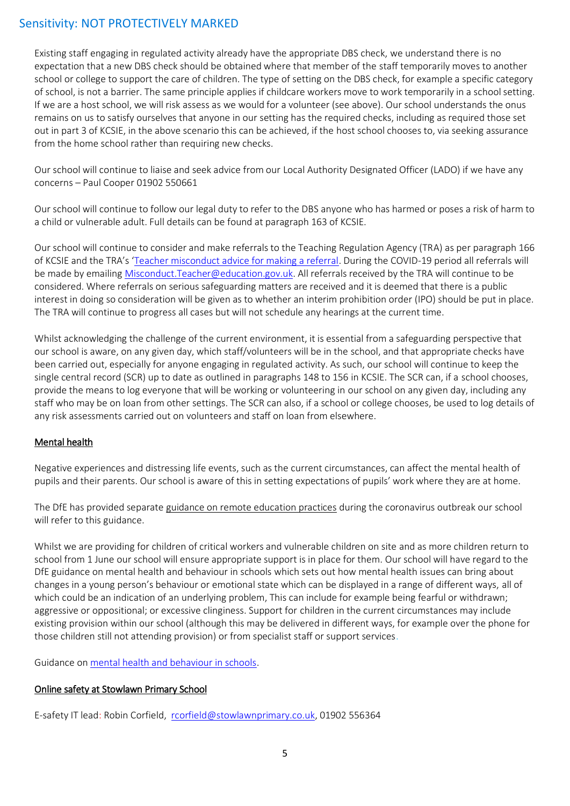Existing staff engaging in regulated activity already have the appropriate DBS check, we understand there is no expectation that a new DBS check should be obtained where that member of the staff temporarily moves to another school or college to support the care of children. The type of setting on the DBS check, for example a specific category of school, is not a barrier. The same principle applies if childcare workers move to work temporarily in a school setting. If we are a host school, we will risk assess as we would for a volunteer (see above). Our school understands the onus remains on us to satisfy ourselves that anyone in our setting has the required checks, including as required those set out in part 3 of KCSIE, in the above scenario this can be achieved, if the host school chooses to, via seeking assurance from the home school rather than requiring new checks.

Our school will continue to liaise and seek advice from our Local Authority Designated Officer (LADO) if we have any concerns – Paul Cooper 01902 550661

Our school will continue to follow our legal duty to refer to the DBS anyone who has harmed or poses a risk of harm to a child or vulnerable adult. Full details can be found at paragraph 163 of KCSIE.

Our school will continue to consider and make referrals to the Teaching Regulation Agency (TRA) as per paragraph 166 of KCSIE and the TRA's '[Teacher misconduct advice for making a referral.](https://www.gov.uk/guidance/teacher-misconduct-referring-a-case) During the COVID-19 period all referrals will be made by emailing [Misconduct.Teacher@education.gov.uk.](mailto:Misconduct.Teacher@education.gov.uk) All referrals received by the TRA will continue to be considered. Where referrals on serious safeguarding matters are received and it is deemed that there is a public interest in doing so consideration will be given as to whether an interim prohibition order (IPO) should be put in place. The TRA will continue to progress all cases but will not schedule any hearings at the current time.

Whilst acknowledging the challenge of the current environment, it is essential from a safeguarding perspective that our school is aware, on any given day, which staff/volunteers will be in the school, and that appropriate checks have been carried out, especially for anyone engaging in regulated activity. As such, our school will continue to keep the single central record (SCR) up to date as outlined in paragraphs 148 to 156 in KCSIE. The SCR can, if a school chooses, provide the means to log everyone that will be working or volunteering in our school on any given day, including any staff who may be on loan from other settings. The SCR can also, if a school or college chooses, be used to log details of any risk assessments carried out on volunteers and staff on loan from elsewhere.

### Mental health

Negative experiences and distressing life events, such as the current circumstances, can affect the mental health of pupils and their parents. Our school is aware of this in setting expectations of pupils' work where they are at home.

The DfE has provided separate [guidance on remote education practices](https://www.gov.uk/guidance/remote-education-practice-for-schools-during-coronavirus-covid-19) during the coronavirus outbreak our school will refer to this guidance.

Whilst we are providing for children of critical workers and vulnerable children on site and as more children return to school from 1 June our school will ensure appropriate support is in place for them. Our school will have regard to the DfE guidance on mental health and behaviour in schools which sets out how mental health issues can bring about changes in a young person's behaviour or emotional state which can be displayed in a range of different ways, all of which could be an indication of an underlying problem, This can include for example being fearful or withdrawn; aggressive or oppositional; or excessive clinginess. Support for children in the current circumstances may include existing provision within our school (although this may be delivered in different ways, for example over the phone for those children still not attending provision) or from specialist staff or support services.

Guidance on [mental health and behaviour in schools.](https://www.gov.uk/government/publications/mental-health-and-behaviour-in-schools--2)

#### Online safety at Stowlawn Primary School

E-safety IT lead: Robin Corfield, [rcorfield@stowlawnprimary.co.uk,](mailto:rcorfield@stowlawnprimary.co.uk) 01902 556364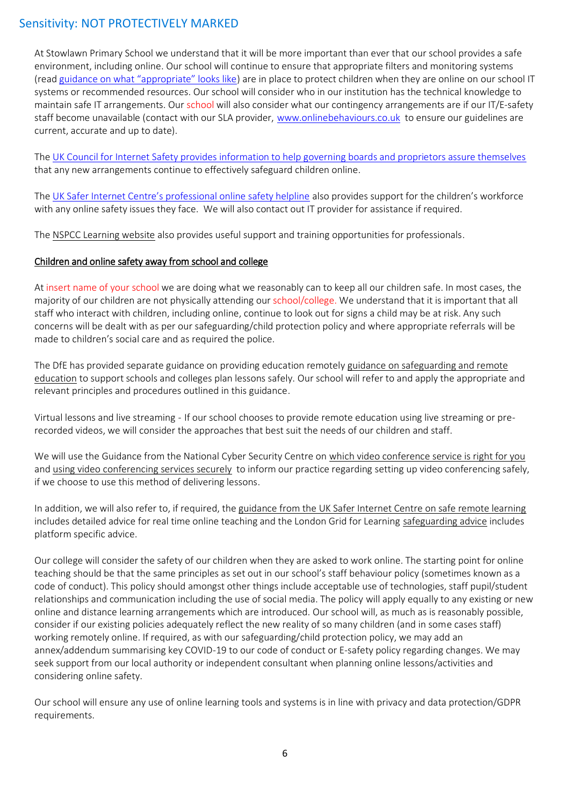At Stowlawn Primary School we understand that it will be more important than ever that our school provides a safe environment, including online. Our school will continue to ensure that appropriate filters and monitoring systems (read [guidance on what "appropriate" looks like](https://www.saferinternet.org.uk/advice-centre/teachers-and-school-staff/appropriate-filtering-and-monitoring)) are in place to protect children when they are online on our school IT systems or recommended resources. Our school will consider who in our institution has the technical knowledge to maintain safe IT arrangements. Our school will also consider what our contingency arrangements are if our IT/E-safety staff become unavailable (contact with our SLA provider, [www.onlinebehaviours.co.uk](http://www.onlinebehaviours.co.uk/) to ensure our guidelines are current, accurate and up to date).

The [UK Council for Internet Safety provides information to help governing boards and proprietors assure themselves](https://www.gov.uk/government/publications/online-safety-in-schools-and-colleges-questions-from-the-governing-board) that any new arrangements continue to effectively safeguard children online.

The [UK Safer Internet Centre's professional online safety helpline](https://www.saferinternet.org.uk/helpline/professionals-online-safety-helpline) also provides support for the children's workforce with any online safety issues they face. We will also contact out IT provider for assistance if required.

The [NSPCC Learning website](https://learning.nspcc.org.uk/) also provides useful support and training opportunities for professionals.

#### Children and online safety away from school and college

At insert name of your school we are doing what we reasonably can to keep all our children safe. In most cases, the majority of our children are not physically attending our school/college. We understand that it is important that all staff who interact with children, including online, continue to look out for signs a child may be at risk. Any such concerns will be dealt with as per our safeguarding/child protection policy and where appropriate referrals will be made to children's social care and as required the police.

The DfE has provided separate guidance on providing education remotely [guidance on safeguarding and remote](https://www.gov.uk/guidance/safeguarding-and-remote-education-during-coronavirus-covid-19)  [education](https://www.gov.uk/guidance/safeguarding-and-remote-education-during-coronavirus-covid-19) to support schools and colleges plan lessons safely. Our school will refer to and apply the appropriate and relevant principles and procedures outlined in this guidance.

Virtual lessons and live streaming - If our school chooses to provide remote education using live streaming or prerecorded videos, we will consider the approaches that best suit the needs of our children and staff.

We will use the Guidance from the National Cyber Security Centre on [which video conference service is right for you](https://www.ncsc.gov.uk/guidance/video-conferencing-services-security-guidance-organisations) and [using video conferencing services securely](https://www.ncsc.gov.uk/guidance/video-conferencing-services-using-them-securely) to inform our practice regarding setting up video conferencing safely, if we choose to use this method of delivering lessons.

In addition, we will also refer to, if required, the [guidance from the UK Safer Internet Centre on safe remote learning](https://swgfl.org.uk/resources/safe-remote-learning/) includes detailed advice for real time online teaching and the London Grid for Learning [safeguarding advice](https://coronavirus.lgfl.net/safeguarding) includes platform specific advice.

Our college will consider the safety of our children when they are asked to work online. The starting point for online teaching should be that the same principles as set out in our school's staff behaviour policy (sometimes known as a code of conduct). This policy should amongst other things include acceptable use of technologies, staff pupil/student relationships and communication including the use of social media. The policy will apply equally to any existing or new online and distance learning arrangements which are introduced. Our school will, as much as is reasonably possible, consider if our existing policies adequately reflect the new reality of so many children (and in some cases staff) working remotely online. If required, as with our safeguarding/child protection policy, we may add an annex/addendum summarising key COVID-19 to our code of conduct or E-safety policy regarding changes. We may seek support from our local authority or independent consultant when planning online lessons/activities and considering online safety.

Our school will ensure any use of online learning tools and systems is in line with privacy and data protection/GDPR requirements.